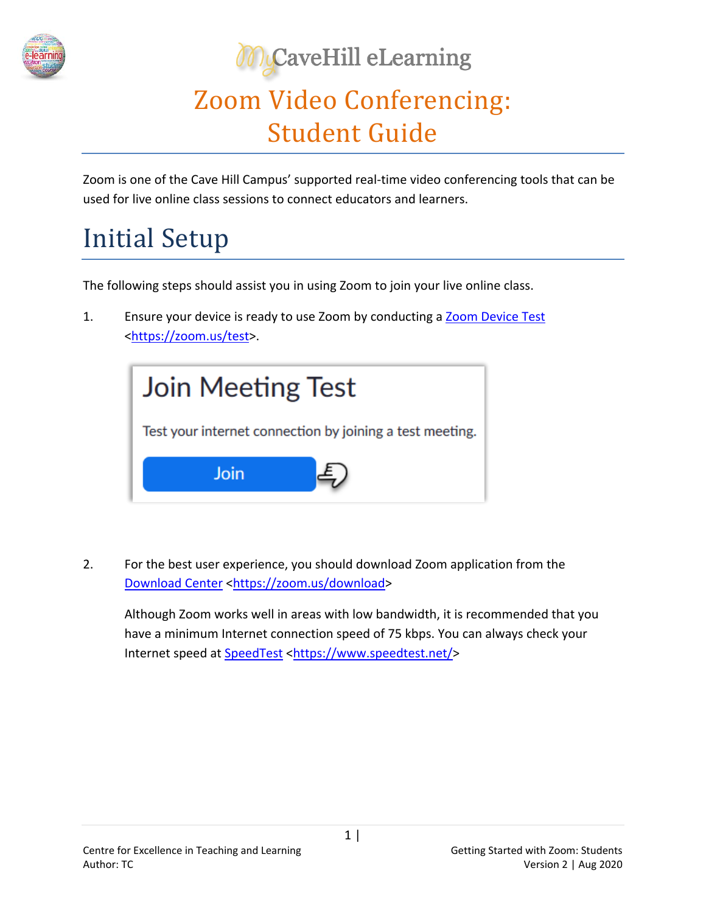

**CaveHill eLearning** 

## Zoom Video Conferencing: Student Guide

Zoom is one of the Cave Hill Campus' supported real-time video conferencing tools that can be used for live online class sessions to connect educators and learners.

## Initial Setup

The following steps should assist you in using Zoom to join your live online class.

1. Ensure your device is ready to use Zoom by conducting a [Zoom Device Test](https://zoom.us/test) [<https://zoom.us/test>](https://zoom.us/test).



2. For the best user experience, you should download Zoom application from the [Download Center](https://zoom.us/download) [<https://zoom.us/download>](https://zoom.us/download)

Although Zoom works well in areas with low bandwidth, it is recommended that you have a minimum Internet connection speed of 75 kbps. You can always check your Internet speed at [SpeedTest](https://www.speedtest.net/) [<https://www.speedtest.net/>](https://www.speedtest.net/)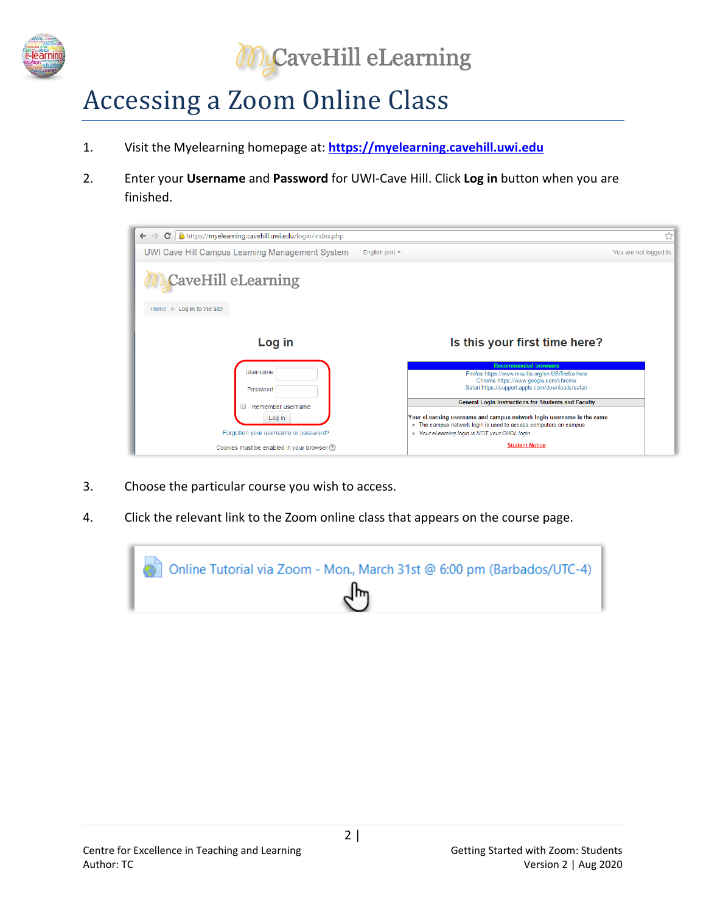

## Accessing a Zoom Online Class

- 1. Visit the Myelearning homepage at: **[https://myelearning.cavehill.uwi.edu](https://myelearning.cavehill.uwi.edu/)**
- 2. Enter your **Username** and **Password** for UWI-Cave Hill. Click **Log in** button when you are finished.



- 3. Choose the particular course you wish to access.
- 4. Click the relevant link to the Zoom online class that appears on the course page.

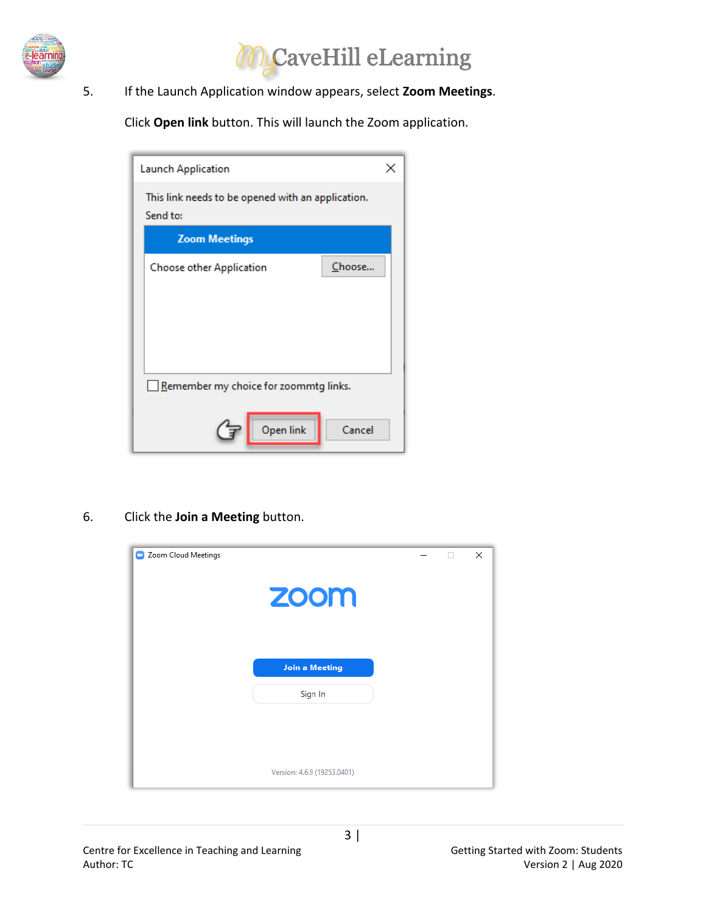

## **McaveHill eLearning**

5. If the Launch Application window appears, select **Zoom Meetings**.

Click **Open link** button. This will launch the Zoom application.

| <b>Launch Application</b>                                     |  |
|---------------------------------------------------------------|--|
| This link needs to be opened with an application.<br>Send to: |  |
| <b>Zoom Meetings</b>                                          |  |
| Choose<br>Choose other Application                            |  |
|                                                               |  |
|                                                               |  |
|                                                               |  |
|                                                               |  |
| Remember my choice for zoommtg links.                         |  |
| Open link<br>Cancel                                           |  |

6. Click the **Join a Meeting** button.